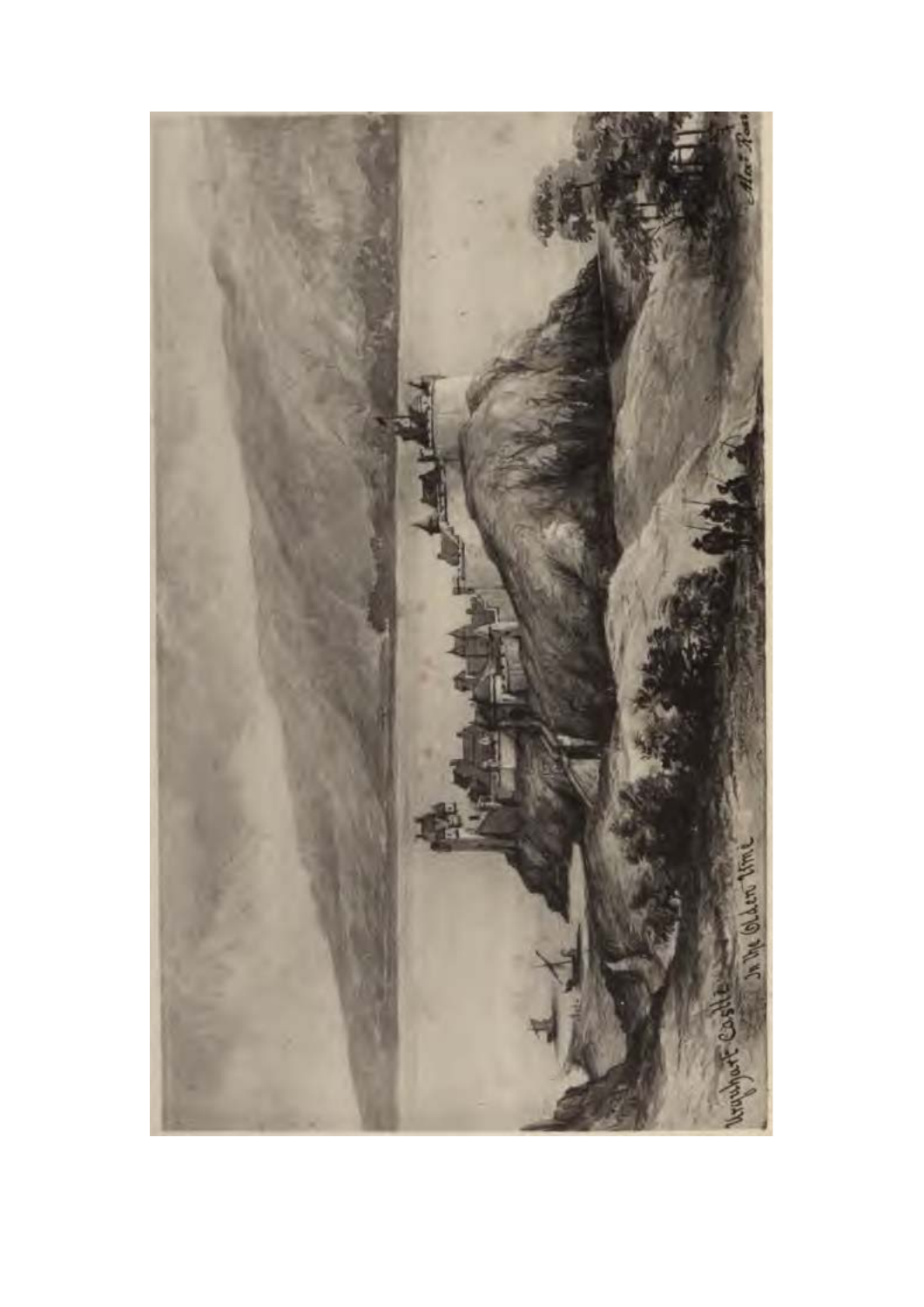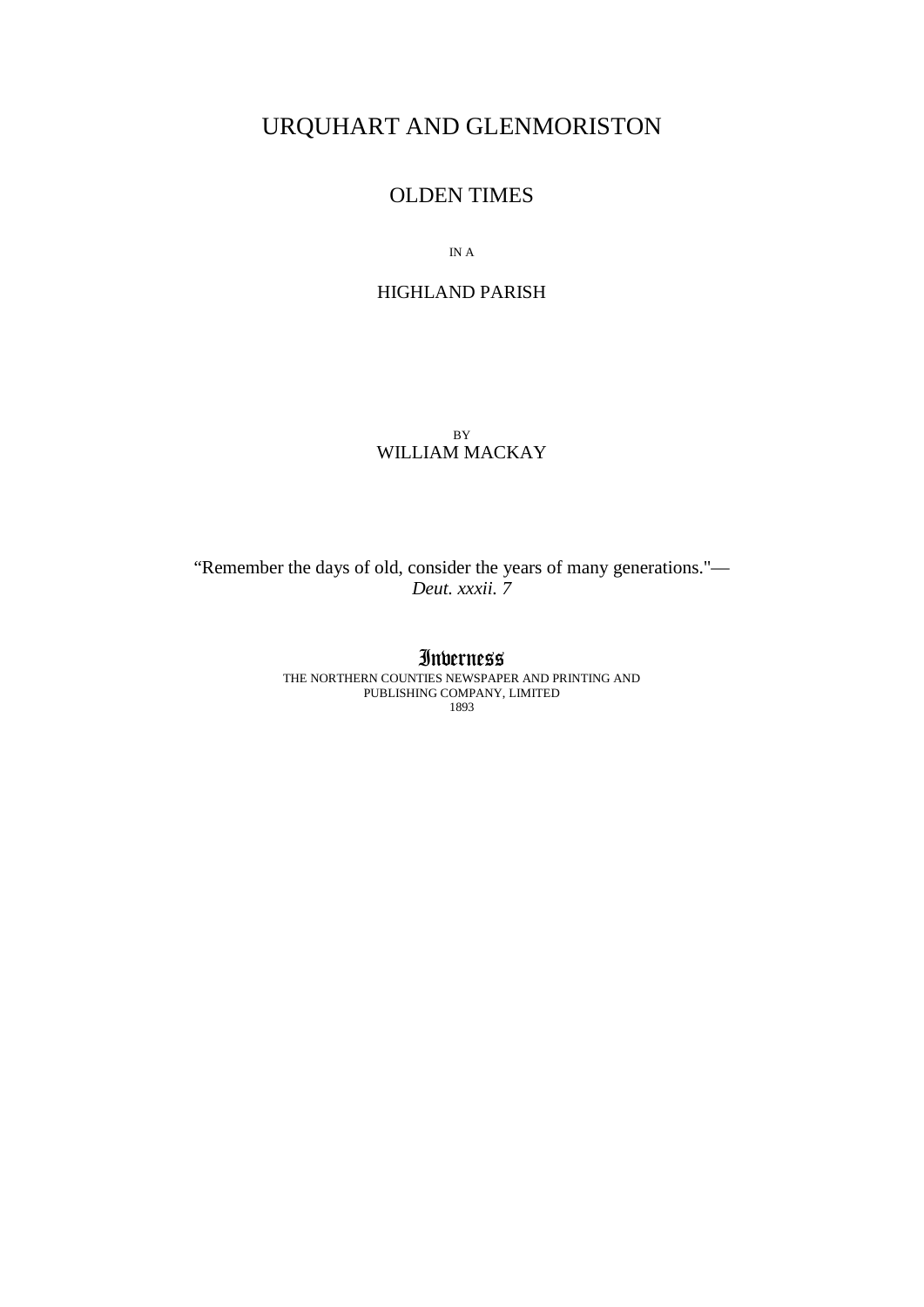# URQUHART AND GLENMORISTON

# OLDEN TIMES

IN A

## HIGHLAND PARISH

BY WILLIAM MACKAY

"Remember the days of old, consider the years of many generations."— *Deut. xxxii. 7*

## Inverness

THE NORTHERN COUNTIES NEWSPAPER AND PRINTING AND PUBLISHING COMPANY, LIMITED 1893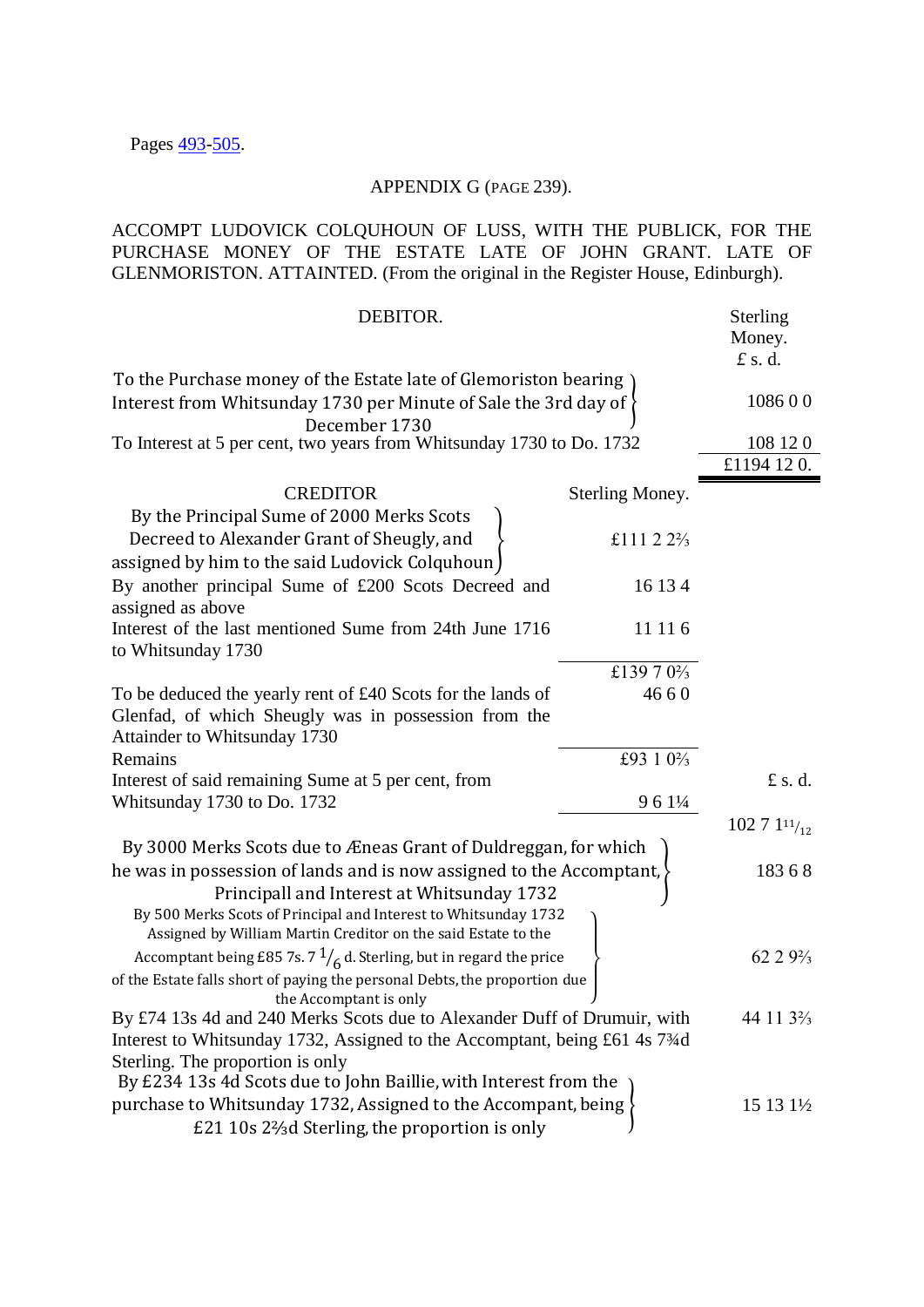# APPENDIX G (PAGE 239).

ACCOMPT LUDOVICK COLQUHOUN OF LUSS, WITH THE PUBLICK, FOR THE PURCHASE MONEY OF THE ESTATE LATE OF JOHN GRANT. LATE OF GLENMORISTON. ATTAINTED. (From the original in the Register House, Edinburgh).

| DEBITOR.                                                                                                                         |                                      | Sterling<br>Money.<br>$f$ s.d.      |
|----------------------------------------------------------------------------------------------------------------------------------|--------------------------------------|-------------------------------------|
| To the Purchase money of the Estate late of Glemoriston bearing                                                                  |                                      |                                     |
| Interest from Whitsunday 1730 per Minute of Sale the 3rd day of                                                                  |                                      | 108600                              |
| December 1730<br>To Interest at 5 per cent, two years from Whitsunday 1730 to Do. 1732                                           |                                      | 108 12 0                            |
|                                                                                                                                  |                                      | £1194 120.                          |
| <b>CREDITOR</b>                                                                                                                  | Sterling Money.                      |                                     |
| By the Principal Sume of 2000 Merks Scots                                                                                        |                                      |                                     |
| Decreed to Alexander Grant of Sheugly, and<br>assigned by him to the said Ludovick Colquhoun                                     | £111 2 $2\frac{2}{3}$                |                                     |
| By another principal Sume of £200 Scots Decreed and<br>assigned as above                                                         | 16 13 4                              |                                     |
| Interest of the last mentioned Sume from 24th June 1716<br>to Whitsunday 1730                                                    | 11 11 6                              |                                     |
|                                                                                                                                  | £139 7 0 <sup>2</sup> / <sub>3</sub> |                                     |
| To be deduced the yearly rent of £40 Scots for the lands of                                                                      | 4660                                 |                                     |
| Glenfad, of which Sheugly was in possession from the                                                                             |                                      |                                     |
| Attainder to Whitsunday 1730                                                                                                     |                                      |                                     |
| Remains                                                                                                                          | £93 1 0 <sup>2</sup> / <sub>3</sub>  |                                     |
| Interest of said remaining Sume at 5 per cent, from                                                                              |                                      | £ s.d.                              |
| Whitsunday 1730 to Do. 1732                                                                                                      | 9 6 1 1/4                            |                                     |
|                                                                                                                                  |                                      | 102 7 $111/12$                      |
| By 3000 Merks Scots due to Æneas Grant of Duldreggan, for which                                                                  |                                      |                                     |
| he was in possession of lands and is now assigned to the Accomptant,                                                             |                                      | 18368                               |
| Principall and Interest at Whitsunday 1732                                                                                       |                                      |                                     |
| By 500 Merks Scots of Principal and Interest to Whitsunday 1732<br>Assigned by William Martin Creditor on the said Estate to the |                                      |                                     |
| Accomptant being £85 7s. 7 $\frac{1}{6}$ d. Sterling, but in regard the price                                                    |                                      | $6229\frac{2}{3}$                   |
| of the Estate falls short of paying the personal Debts, the proportion due<br>the Accomptant is only                             |                                      |                                     |
| By £74 13s 4d and 240 Merks Scots due to Alexander Duff of Drumuir, with                                                         |                                      | 44 11 3 <sup>2</sup> / <sub>3</sub> |
| Interest to Whitsunday 1732, Assigned to the Accomptant, being £61 4s 73⁄4d                                                      |                                      |                                     |
| Sterling. The proportion is only                                                                                                 |                                      |                                     |
| By £234 13s 4d Scots due to John Baillie, with Interest from the                                                                 |                                      |                                     |
| purchase to Whitsunday 1732, Assigned to the Accompant, being                                                                    |                                      | 15 13 1½                            |
| £21 10s 2 <sup>2</sup> / <sub>3</sub> d Sterling, the proportion is only                                                         |                                      |                                     |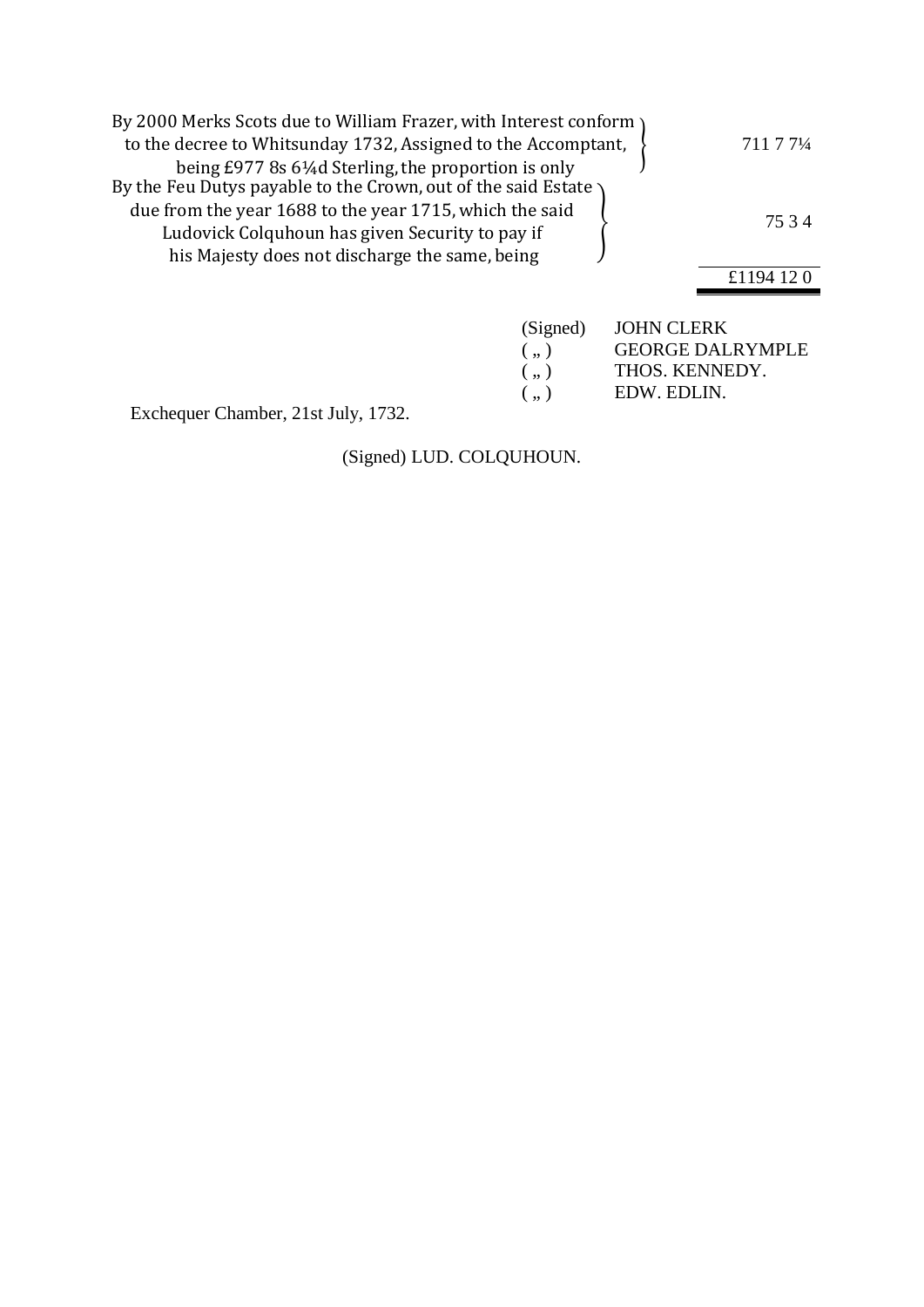| By 2000 Merks Scots due to William Frazer, with Interest conform<br>to the decree to Whitsunday 1732, Assigned to the Accomptant,                            | 711 7 71/4 |
|--------------------------------------------------------------------------------------------------------------------------------------------------------------|------------|
| being £977 8s 6¼d Sterling, the proportion is only<br>By the Feu Dutys payable to the Crown, out of the said Estate                                          |            |
| due from the year 1688 to the year 1715, which the said<br>Ludovick Colquhoun has given Security to pay if<br>his Majesty does not discharge the same, being | 7534       |
|                                                                                                                                                              | £1194 12 0 |
| (Signed)                                                                                                                                                     |            |

| (Signed)   | <b>JOHN CLERK</b>       |
|------------|-------------------------|
| $($ , $)$  | <b>GEORGE DALRYMPLE</b> |
| $($ , $)$  | THOS. KENNEDY.          |
| $($ ., $)$ | EDW. EDLIN.             |
|            |                         |

Exchequer Chamber, 21st July, 1732.

(Signed) LUD. COLQUHOUN.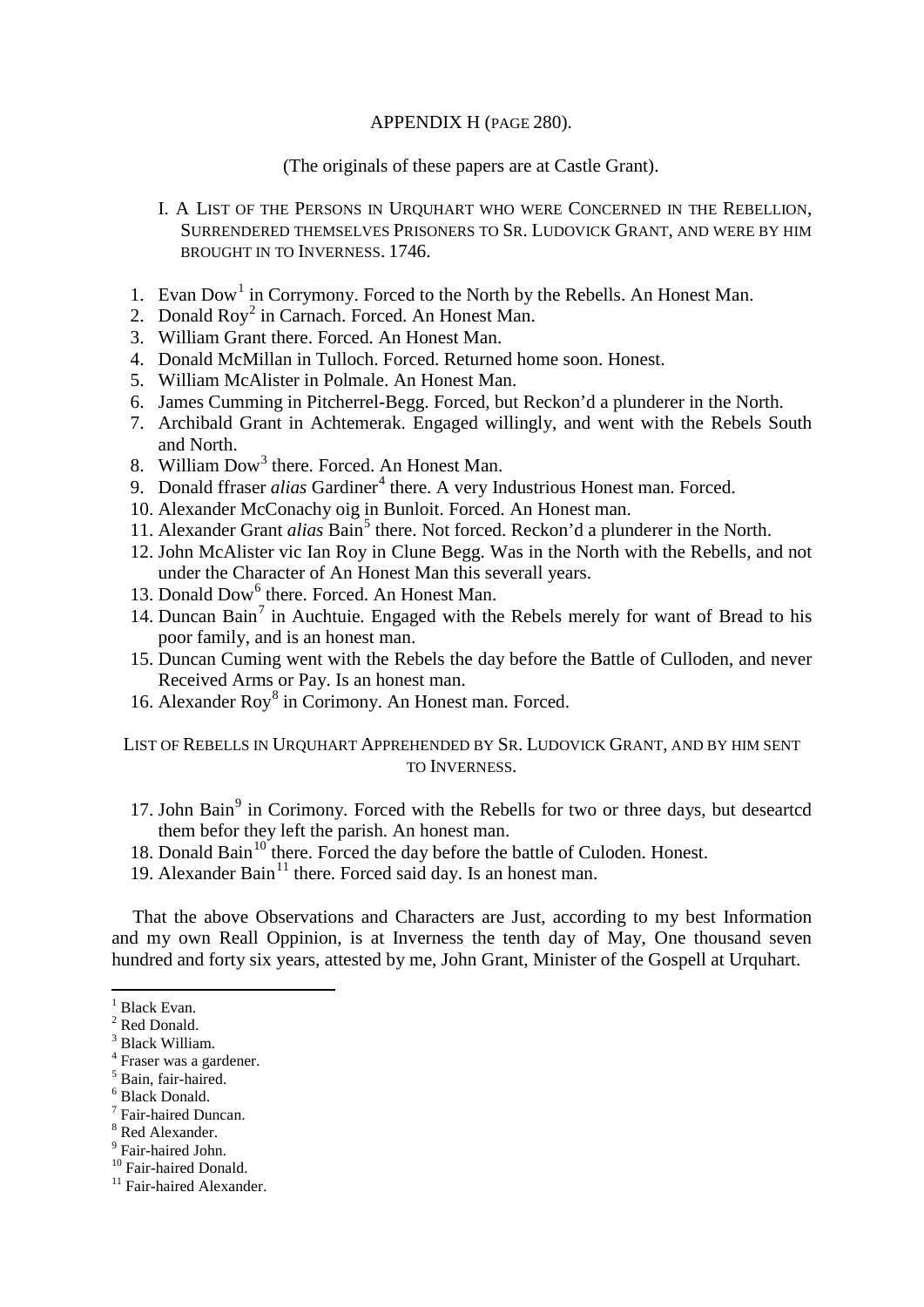## APPENDIX H (PAGE 280).

(The originals of these papers are at Castle Grant).

- I. A LIST OF THE PERSONS IN URQUHART WHO WERE CONCERNED IN THE REBELLION, SURRENDERED THEMSELVES PRISONERS TO SR. LUDOVICK GRANT, AND WERE BY HIM BROUGHT IN TO INVERNESS. 1746.
- [1](#page-4-0). Evan  $Down^1$  in Corrymony. Forced to the North by the Rebells. An Honest Man.
- [2](#page-4-1). Donald  $Row<sup>2</sup>$  in Carnach. Forced. An Honest Man.
- 3. William Grant there. Forced. An Honest Man.
- 4. Donald McMillan in Tulloch. Forced. Returned home soon. Honest.
- 5. William McAlister in Polmale. An Honest Man.
- 6. James Cumming in Pitcherrel-Begg. Forced, but Reckon'd a plunderer in the North.
- 7. Archibald Grant in Achtemerak. Engaged willingly, and went with the Rebels South and North.
- 8. William Dow<sup>[3](#page-4-2)</sup> there. Forced. An Honest Man.
- 9. Donald ffraser *alias* Gardiner<sup>[4](#page-4-3)</sup> there. A very Industrious Honest man. Forced.
- 10. Alexander McConachy oig in Bunloit. Forced. An Honest man.
- 11. Alexander Grant *alias* Bain<sup>[5](#page-4-4)</sup> there. Not forced. Reckon'd a plunderer in the North.
- 12. John McAlister vic Ian Roy in Clune Begg. Was in the North with the Rebells, and not under the Character of An Honest Man this severall years.
- 13. Donald Dow<sup>[6](#page-4-5)</sup> there. Forced. An Honest Man.
- 14. Duncan Bain<sup>[7](#page-4-6)</sup> in Auchtuie. Engaged with the Rebels merely for want of Bread to his poor family, and is an honest man.
- 15. Duncan Cuming went with the Rebels the day before the Battle of Culloden, and never Received Arms or Pay. Is an honest man.
- 16. Alexander Roy<sup>[8](#page-4-7)</sup> in Corimony. An Honest man. Forced.

LIST OF REBELLS IN URQUHART APPREHENDED BY SR. LUDOVICK GRANT, AND BY HIM SENT TO INVERNESS.

- 17. John Bain<sup>[9](#page-4-8)</sup> in Corimony. Forced with the Rebells for two or three days, but desearted them befor they left the parish. An honest man.
- 18. Donald Bain<sup>[10](#page-4-9)</sup> there. Forced the day before the battle of Culoden. Honest.
- 19. Alexander Bain<sup>[11](#page-4-10)</sup> there. Forced said day. Is an honest man.

That the above Observations and Characters are Just, according to my best Information and my own Reall Oppinion, is at Inverness the tenth day of May, One thousand seven hundred and forty six years, attested by me, John Grant, Minister of the Gospell at Urquhart.

- <span id="page-4-4"></span><sup>5</sup> Bain, fair-haired.<br>
<sup>6</sup> Black Donald.<br>
<sup>7</sup> Fair-haired Duncan.
- <span id="page-4-5"></span>
- 
- 
- <span id="page-4-9"></span>

 $<sup>1</sup>$  Black Evan.</sup>

<span id="page-4-1"></span><span id="page-4-0"></span><sup>2</sup> Red Donald.

<span id="page-4-2"></span><sup>3</sup> Black William.

<span id="page-4-3"></span><sup>4</sup> Fraser was a gardener.

<span id="page-4-8"></span><span id="page-4-7"></span><span id="page-4-6"></span><sup>&</sup>lt;sup>8</sup> Red Alexander.<br>
<sup>9</sup> Fair-haired John.<br>
<sup>10</sup> Fair-haired Donald.<br>
<sup>11</sup> Fair-haired Alexander.

<span id="page-4-10"></span>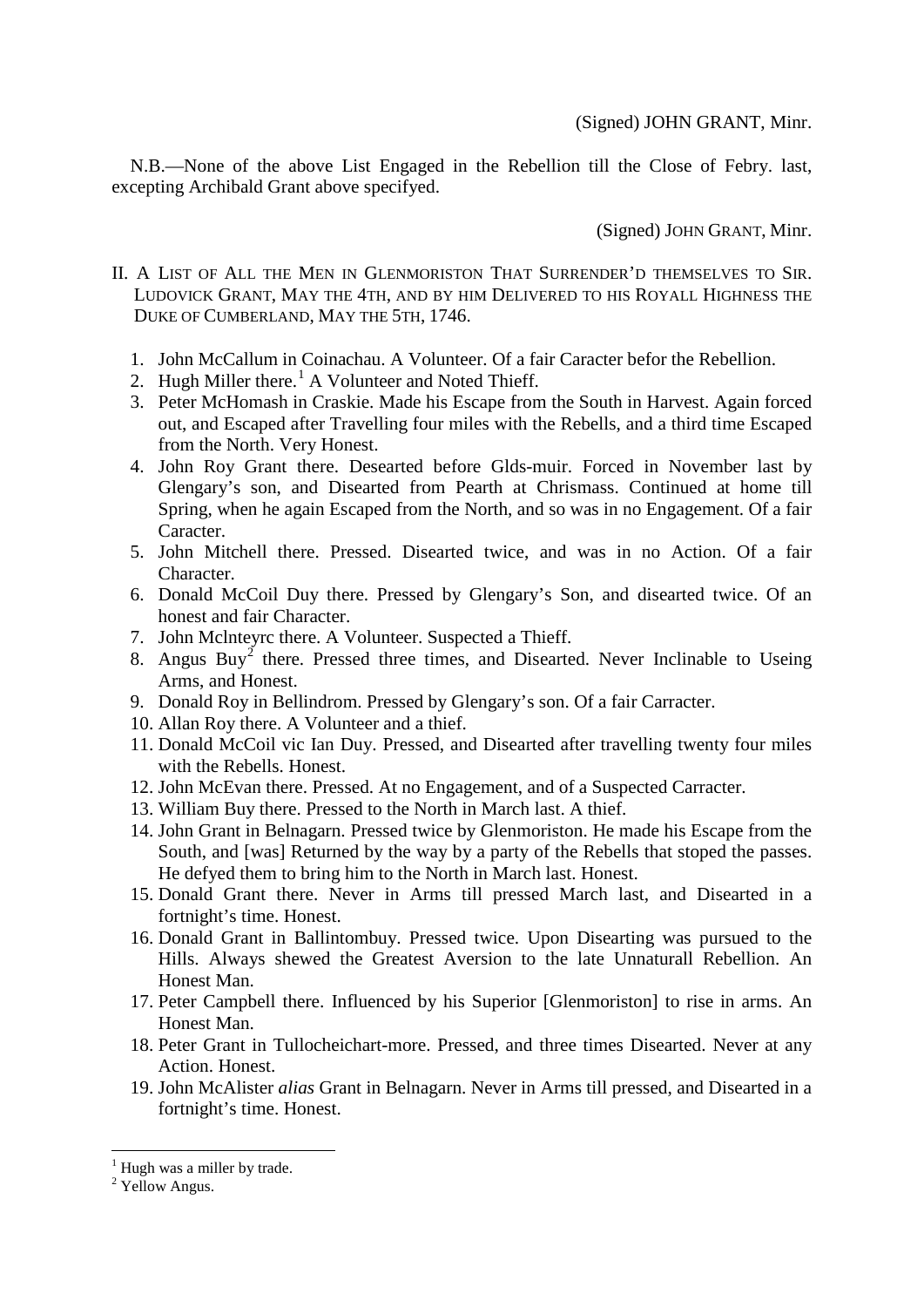N.B.—None of the above List Engaged in the Rebellion till the Close of Febry. last, excepting Archibald Grant above specifyed.

(Signed) JOHN GRANT, Minr.

- II. A LIST OF ALL THE MEN IN GLENMORISTON THAT SURRENDER'D THEMSELVES TO SIR. LUDOVICK GRANT, MAY THE 4TH, AND BY HIM DELIVERED TO HIS ROYALL HIGHNESS THE DUKE OF CUMBERLAND, MAY THE 5TH, 1746.
	- 1. John McCallum in Coinachau. A Volunteer. Of a fair Caracter befor the Rebellion.
	- 2. Hugh Miller there.<sup>[1](#page-5-0)</sup> A Volunteer and Noted Thieff.
	- 3. Peter McHomash in Craskie. Made his Escape from the South in Harvest. Again forced out, and Escaped after Travelling four miles with the Rebells, and a third time Escaped from the North. Very Honest.
	- 4. John Roy Grant there. Desearted before Glds-muir. Forced in November last by Glengary's son, and Disearted from Pearth at Chrismass. Continued at home till Spring, when he again Escaped from the North, and so was in no Engagement. Of a fair Caracter.
	- 5. John Mitchell there. Pressed. Disearted twice, and was in no Action. Of a fair Character.
	- 6. Donald McCoil Duy there. Pressed by Glengary's Son, and disearted twice. Of an honest and fair Character.
	- 7. John Mclnteyrc there. A Volunteer. Suspected a Thieff.
	- 8. Angus Buy<sup>[2](#page-5-1)</sup> there. Pressed three times, and Disearted. Never Inclinable to Useing Arms, and Honest.
	- 9. Donald Roy in Bellindrom. Pressed by Glengary's son. Of a fair Carracter.
	- 10. Allan Roy there. A Volunteer and a thief.
	- 11. Donald McCoil vic Ian Duy. Pressed, and Disearted after travelling twenty four miles with the Rebells. Honest.
	- 12. John McEvan there. Pressed. At no Engagement, and of a Suspected Carracter.
	- 13. William Buy there. Pressed to the North in March last. A thief.
	- 14. John Grant in Belnagarn. Pressed twice by Glenmoriston. He made his Escape from the South, and [was] Returned by the way by a party of the Rebells that stoped the passes. He defyed them to bring him to the North in March last. Honest.
	- 15. Donald Grant there. Never in Arms till pressed March last, and Disearted in a fortnight's time. Honest.
	- 16. Donald Grant in Ballintombuy. Pressed twice. Upon Disearting was pursued to the Hills. Always shewed the Greatest Aversion to the late Unnaturall Rebellion. An Honest Man.
	- 17. Peter Campbell there. Influenced by his Superior [Glenmoriston] to rise in arms. An Honest Man.
	- 18. Peter Grant in Tullocheichart-more. Pressed, and three times Disearted. Never at any Action. Honest.
	- 19. John McAlister *alias* Grant in Belnagarn. Never in Arms till pressed, and Disearted in a fortnight's time. Honest.

 $<sup>1</sup>$  Hugh was a miller by trade.</sup>

<span id="page-5-1"></span><span id="page-5-0"></span><sup>&</sup>lt;sup>2</sup> Yellow Angus.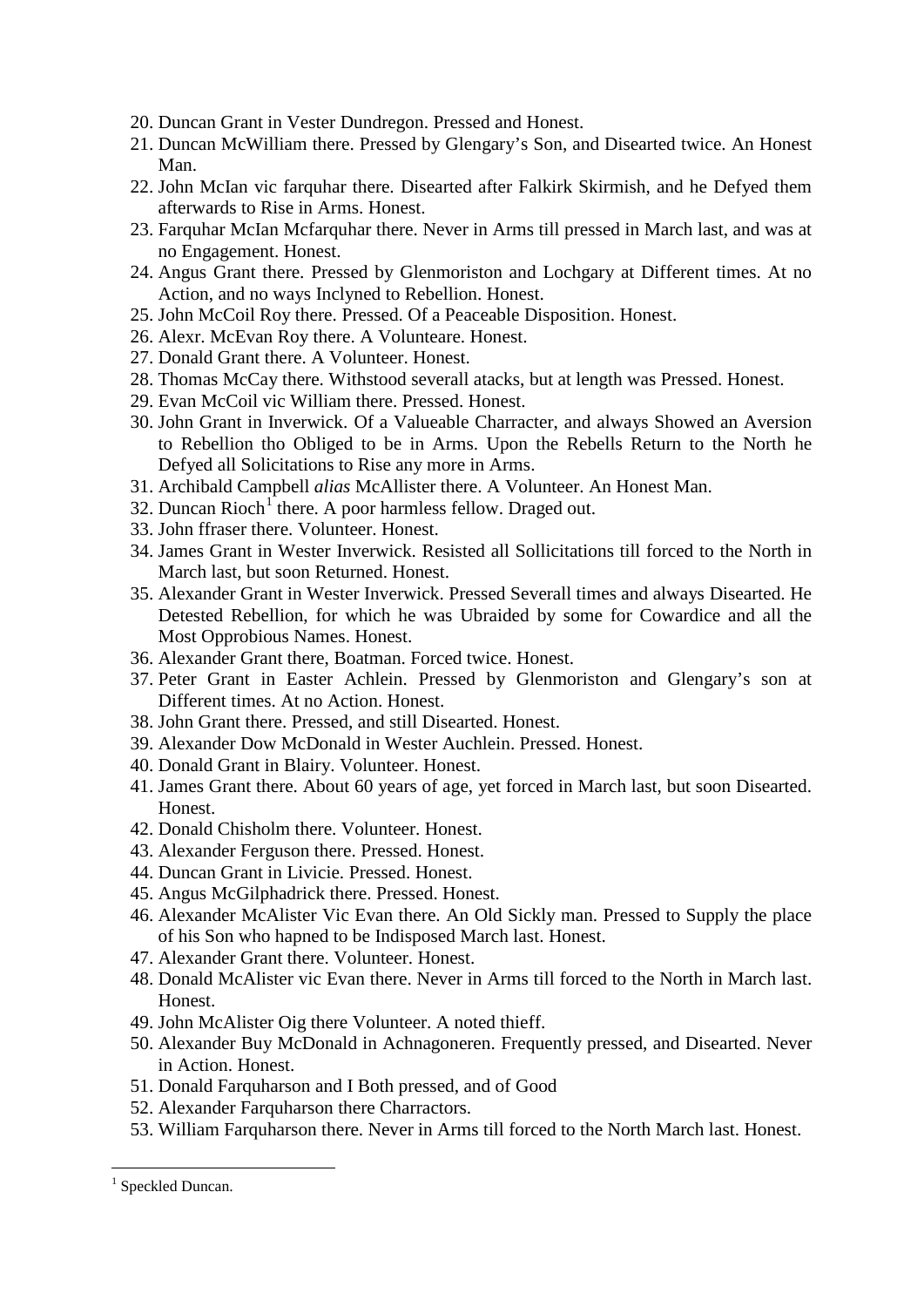- 20. Duncan Grant in Vester Dundregon. Pressed and Honest.
- 21. Duncan McWilliam there. Pressed by Glengary's Son, and Disearted twice. An Honest Man.
- 22. John McIan vic farquhar there. Disearted after Falkirk Skirmish, and he Defyed them afterwards to Rise in Arms. Honest.
- 23. Farquhar McIan Mcfarquhar there. Never in Arms till pressed in March last, and was at no Engagement. Honest.
- 24. Angus Grant there. Pressed by Glenmoriston and Lochgary at Different times. At no Action, and no ways Inclyned to Rebellion. Honest.
- 25. John McCoil Roy there. Pressed. Of a Peaceable Disposition. Honest.
- 26. Alexr. McEvan Roy there. A Volunteare. Honest.
- 27. Donald Grant there. A Volunteer. Honest.
- 28. Thomas McCay there. Withstood severall atacks, but at length was Pressed. Honest.
- 29. Evan McCoil vic William there. Pressed. Honest.
- 30. John Grant in Inverwick. Of a Valueable Charracter, and always Showed an Aversion to Rebellion tho Obliged to be in Arms. Upon the Rebells Return to the North he Defyed all Solicitations to Rise any more in Arms.
- 31. Archibald Campbell *alias* McAllister there. A Volunteer. An Honest Man.
- 32. Duncan  $\text{Rioch}^1$  $\text{Rioch}^1$  there. A poor harmless fellow. Draged out.
- 33. John ffraser there. Volunteer. Honest.
- 34. James Grant in Wester Inverwick. Resisted all Sollicitations till forced to the North in March last, but soon Returned. Honest.
- 35. Alexander Grant in Wester Inverwick. Pressed Severall times and always Disearted. He Detested Rebellion, for which he was Ubraided by some for Cowardice and all the Most Opprobious Names. Honest.
- 36. Alexander Grant there, Boatman. Forced twice. Honest.
- 37. Peter Grant in Easter Achlein. Pressed by Glenmoriston and Glengary's son at Different times. At no Action. Honest.
- 38. John Grant there. Pressed, and still Disearted. Honest.
- 39. Alexander Dow McDonald in Wester Auchlein. Pressed. Honest.
- 40. Donald Grant in Blairy. Volunteer. Honest.
- 41. James Grant there. About 60 years of age, yet forced in March last, but soon Disearted. Honest.
- 42. Donald Chisholm there. Volunteer. Honest.
- 43. Alexander Ferguson there. Pressed. Honest.
- 44. Duncan Grant in Livicie. Pressed. Honest.
- 45. Angus McGilphadrick there. Pressed. Honest.
- 46. Alexander McAlister Vic Evan there. An Old Sickly man. Pressed to Supply the place of his Son who hapned to be Indisposed March last. Honest.
- 47. Alexander Grant there. Volunteer. Honest.
- 48. Donald McAlister vic Evan there. Never in Arms till forced to the North in March last. Honest.
- 49. John McAlister Oig there Volunteer. A noted thieff.
- 50. Alexander Buy McDonald in Achnagoneren. Frequently pressed, and Disearted. Never in Action. Honest.
- 51. Donald Farquharson and I Both pressed, and of Good
- 52. Alexander Farquharson there Charractors.
- 53. William Farquharson there. Never in Arms till forced to the North March last. Honest.

<span id="page-6-0"></span><sup>&</sup>lt;sup>1</sup> Speckled Duncan.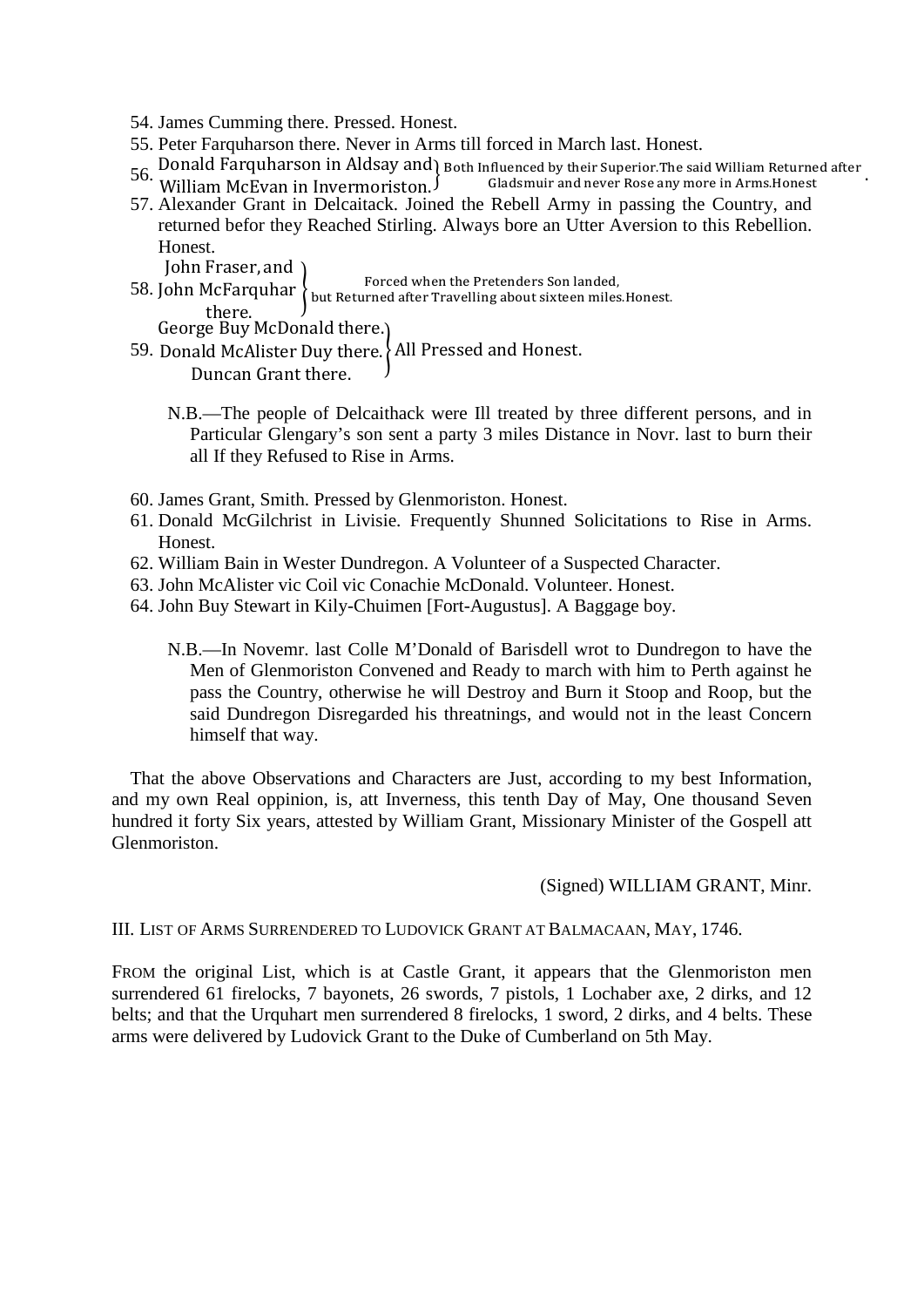- 54. James Cumming there. Pressed. Honest.
- 55. Peter Farquharson there. Never in Arms till forced in March last. Honest.
- 56. Donald Farquharson in Aldsay and Both Influenced by their Superior. The said William Returned after 56. William McFyan in Invermoriston  $\int$  Gladsmuir and never Rose any more in Arms. Honest William McEvan in Invermoriston. Gladsmuir and never Rose any more in Arms.Honest .
- 57. Alexander Grant in Delcaitack. Joined the Rebell Army in passing the Country, and returned befor they Reached Stirling. Always bore an Utter Aversion to this Rebellion. Honest.

John Fraser, and

- 58. John McFarquhar � Forced when the Pretenders Son landed, but Returned after Travelling about sixteen miles.Honest. there. George Buy McDonald there.
- 59. Donald McAlister Duy there. � All Pressed and Honest. Duncan Grant there.
	- N.B.—The people of Delcaithack were Ill treated by three different persons, and in Particular Glengary's son sent a party 3 miles Distance in Novr. last to burn their all If they Refused to Rise in Arms.
- 60. James Grant, Smith. Pressed by Glenmoriston. Honest.
- 61. Donald McGilchrist in Livisie. Frequently Shunned Solicitations to Rise in Arms. Honest.
- 62. William Bain in Wester Dundregon. A Volunteer of a Suspected Character.
- 63. John McAlister vic Coil vic Conachie McDonald. Volunteer. Honest.
- 64. John Buy Stewart in Kily-Chuimen [Fort-Augustus]. A Baggage boy.

N.B.—In Novemr. last Colle M'Donald of Barisdell wrot to Dundregon to have the Men of Glenmoriston Convened and Ready to march with him to Perth against he pass the Country, otherwise he will Destroy and Burn it Stoop and Roop, but the said Dundregon Disregarded his threatnings, and would not in the least Concern himself that way.

That the above Observations and Characters are Just, according to my best Information, and my own Real oppinion, is, att Inverness, this tenth Day of May, One thousand Seven hundred it forty Six years, attested by William Grant, Missionary Minister of the Gospell att Glenmoriston.

(Signed) WILLIAM GRANT, Minr.

III. LIST OF ARMS SURRENDERED TO LUDOVICK GRANT AT BALMACAAN, MAY, 1746.

FROM the original List, which is at Castle Grant, it appears that the Glenmoriston men surrendered 61 firelocks, 7 bayonets, 26 swords, 7 pistols, 1 Lochaber axe, 2 dirks, and 12 belts; and that the Urquhart men surrendered 8 firelocks, 1 sword, 2 dirks, and 4 belts. These arms were delivered by Ludovick Grant to the Duke of Cumberland on 5th May.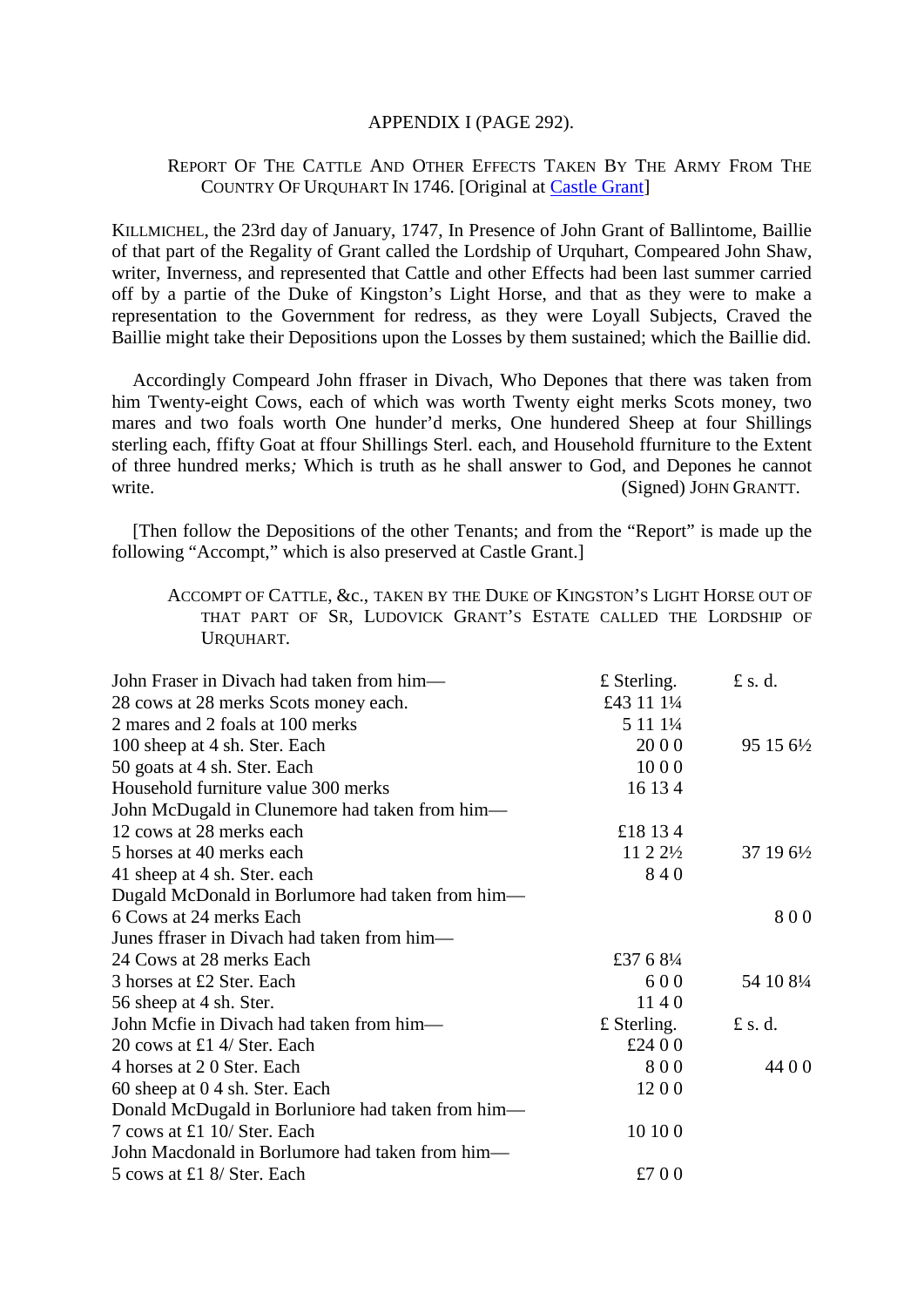#### APPENDIX I (PAGE 292).

## REPORT OF THE CATTLE AND OTHER EFFECTS TAKEN BY THE ARMY FROM THE COUNTRY OF URQUHART IN 1746. [Original at [Castle Grant\]](https://maps.google.com/maps/ms?msa=0&msid=211561256757863135652.00044b3c14278bf4f5a47&hl=en&ie=UTF8&ll=57.352301,-3.594734&spn=0.002179,0.004737&t=k&z=18&vpsrc=6&iwloc=0004c553f3a5bad44c46e)

KILLMICHEL, the 23rd day of January, 1747, In Presence of John Grant of Ballintome, Baillie of that part of the Regality of Grant called the Lordship of Urquhart, Compeared John Shaw, writer, Inverness, and represented that Cattle and other Effects had been last summer carried off by a partie of the Duke of Kingston's Light Horse, and that as they were to make a representation to the Government for redress, as they were Loyall Subjects, Craved the Baillie might take their Depositions upon the Losses by them sustained; which the Baillie did.

Accordingly Compeard John ffraser in Divach, Who Depones that there was taken from him Twenty-eight Cows, each of which was worth Twenty eight merks Scots money, two mares and two foals worth One hunder'd merks, One hundered Sheep at four Shillings sterling each, ffifty Goat at ffour Shillings Sterl. each, and Household ffurniture to the Extent of three hundred merks*;* Which is truth as he shall answer to God, and Depones he cannot write. (Signed) JOHN GRANTT.

[Then follow the Depositions of the other Tenants; and from the "Report" is made up the following "Accompt," which is also preserved at Castle Grant.]

ACCOMPT OF CATTLE, &c., TAKEN BY THE DUKE OF KINGSTON'S LIGHT HORSE OUT OF THAT PART OF SR, LUDOVICK GRANT'S ESTATE CALLED THE LORDSHIP OF URQUHART.

| John Fraser in Divach had taken from him—         | $£$ Sterling.         | £ s. d.    |
|---------------------------------------------------|-----------------------|------------|
| 28 cows at 28 merks Scots money each.             | £43 11 11/4           |            |
| 2 mares and 2 foals at 100 merks                  | 5 11 11/4             |            |
| 100 sheep at 4 sh. Ster. Each                     | 20 0 0                | 95 15 61/2 |
| 50 goats at 4 sh. Ster. Each                      | 1000                  |            |
| Household furniture value 300 merks               | 16 13 4               |            |
| John McDugald in Clunemore had taken from him-    |                       |            |
| 12 cows at 28 merks each                          | £18 13 4              |            |
| 5 horses at 40 merks each                         | $11\,2\,2\frac{1}{2}$ | 37 19 61/2 |
| 41 sheep at 4 sh. Ster. each                      | 840                   |            |
| Dugald McDonald in Borlumore had taken from him—  |                       |            |
| 6 Cows at 24 merks Each                           |                       | 800        |
| Junes ffraser in Divach had taken from him—       |                       |            |
| 24 Cows at 28 merks Each                          | £37 6 81/4            |            |
| 3 horses at £2 Ster. Each                         | 600                   | 54 10 81/4 |
| 56 sheep at 4 sh. Ster.                           | 1140                  |            |
| John Mcfie in Divach had taken from him—          | $£$ Sterling.         | $f$ s.d.   |
| 20 cows at £1 4/ Ster. Each                       | £24 0 0               |            |
| 4 horses at 20 Ster. Each                         | 800                   | 44 0 0     |
| 60 sheep at 0.4 sh. Ster. Each                    | 1200                  |            |
| Donald McDugald in Borluniore had taken from him- |                       |            |
| 7 cows at £1 10/ Ster. Each                       | 10 10 0               |            |
| John Macdonald in Borlumore had taken from him—   |                       |            |
| 5 cows at £1 8/ Ster. Each                        | £700                  |            |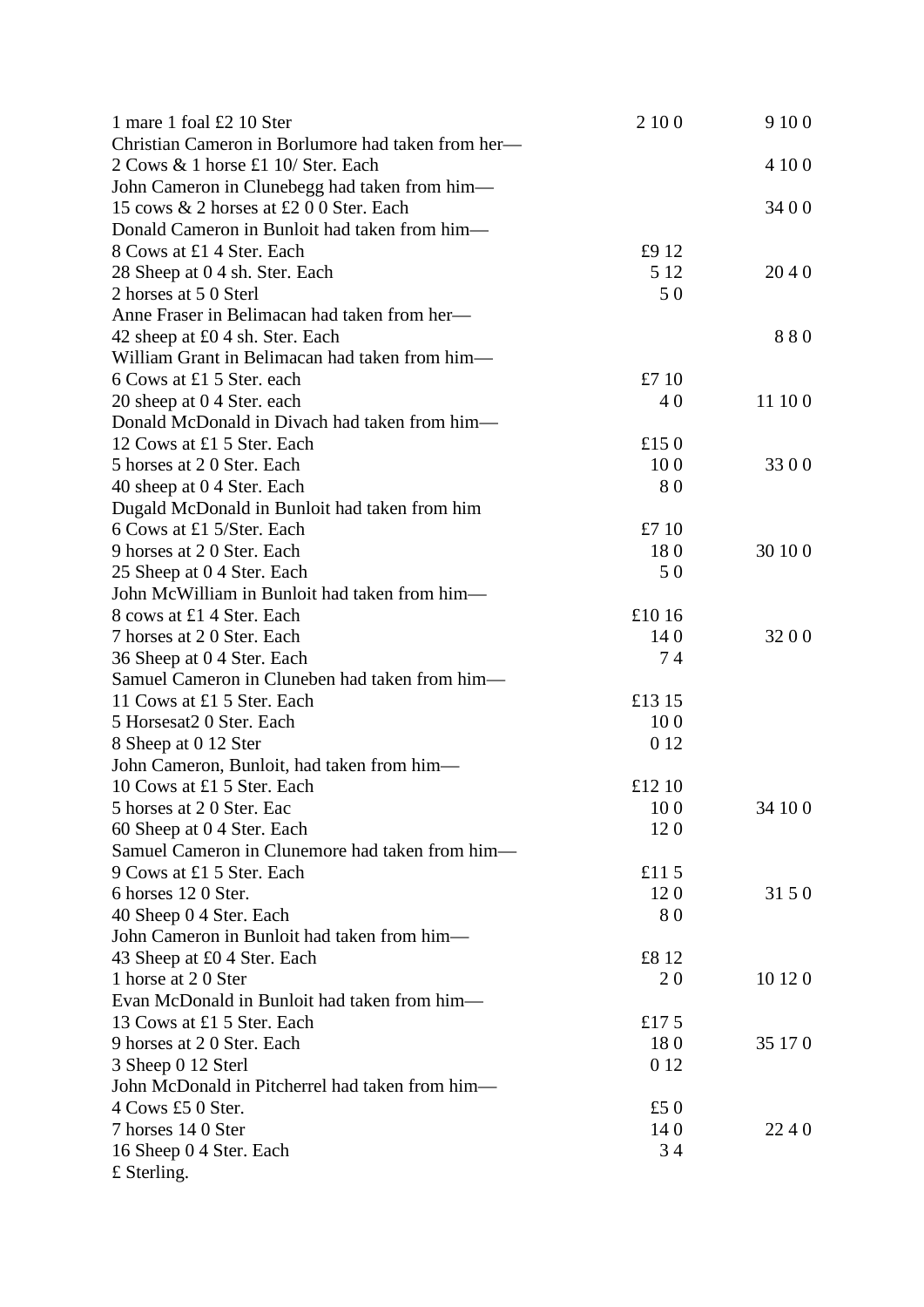| 1 mare 1 foal £2 10 Ster                           | 2 10 0    | 9 10 0  |
|----------------------------------------------------|-----------|---------|
| Christian Cameron in Borlumore had taken from her— |           |         |
| 2 Cows & 1 horse £1 10/ Ster. Each                 |           | 4 10 0  |
| John Cameron in Clunebegg had taken from him-      |           |         |
| 15 cows & 2 horses at £2 0 0 Ster. Each            |           | 34 0 0  |
| Donald Cameron in Bunloit had taken from him-      |           |         |
| 8 Cows at £1 4 Ster. Each                          | £9 12     |         |
| 28 Sheep at 0 4 sh. Ster. Each                     | 5 1 2     | 2040    |
| 2 horses at 5 0 Sterl                              | 50        |         |
| Anne Fraser in Belimacan had taken from her—       |           |         |
| 42 sheep at £0 4 sh. Ster. Each                    |           | 880     |
| William Grant in Belimacan had taken from him-     |           |         |
| 6 Cows at £1 5 Ster. each                          | £7 10     |         |
| 20 sheep at 0 4 Ster. each                         | 40        | 11 10 0 |
| Donald McDonald in Divach had taken from him-      |           |         |
| 12 Cows at £1 5 Ster. Each                         | £15 $0$   |         |
| 5 horses at 20 Ster. Each                          | 100       | 3300    |
| 40 sheep at 0 4 Ster. Each                         | 80        |         |
| Dugald McDonald in Bunloit had taken from him      |           |         |
| 6 Cows at £1 5/Ster. Each                          | £710      |         |
| 9 horses at 20 Ster. Each                          | 180       | 30 10 0 |
| 25 Sheep at 0 4 Ster. Each                         | 50        |         |
| John McWilliam in Bunloit had taken from him-      |           |         |
| 8 cows at £1 4 Ster. Each                          | £1016     |         |
| 7 horses at 20 Ster. Each                          | 140       | 3200    |
| 36 Sheep at 04 Ster. Each                          | 74        |         |
| Samuel Cameron in Cluneben had taken from him-     |           |         |
| 11 Cows at £1 5 Ster. Each                         | £13 15    |         |
| 5 Horsesat2 0 Ster. Each                           | 100       |         |
| 8 Sheep at 0 12 Ster                               | 0 1 2     |         |
| John Cameron, Bunloit, had taken from him—         |           |         |
| 10 Cows at £1 5 Ster. Each                         | £12 10    |         |
| 5 horses at 20 Ster. Eac                           | 100       | 34 10 0 |
| 60 Sheep at 0 4 Ster. Each                         | 120       |         |
| Samuel Cameron in Clunemore had taken from him-    |           |         |
| 9 Cows at £1 5 Ster. Each                          | £11 $5$   |         |
| 6 horses 120 Ster.                                 | 120       | 31 5 0  |
| 40 Sheep 0 4 Ster. Each                            | 80        |         |
| John Cameron in Bunloit had taken from him-        |           |         |
| 43 Sheep at £0 4 Ster. Each                        | £8 12     |         |
| 1 horse at 20 Ster                                 | <b>20</b> | 10 12 0 |
| Evan McDonald in Bunloit had taken from him-       |           |         |
| 13 Cows at £1 5 Ster. Each                         | £17 $5$   |         |
| 9 horses at 20 Ster. Each                          | 180       | 35 17 0 |
| 3 Sheep 0 12 Sterl                                 | 0 1 2     |         |
| John McDonald in Pitcherrel had taken from him-    |           |         |
| 4 Cows £5 0 Ster.                                  | £5 $0$    |         |
| 7 horses 14 0 Ster                                 | 140       | 2240    |
| 16 Sheep 0 4 Ster. Each                            | 34        |         |
| $£$ Sterling.                                      |           |         |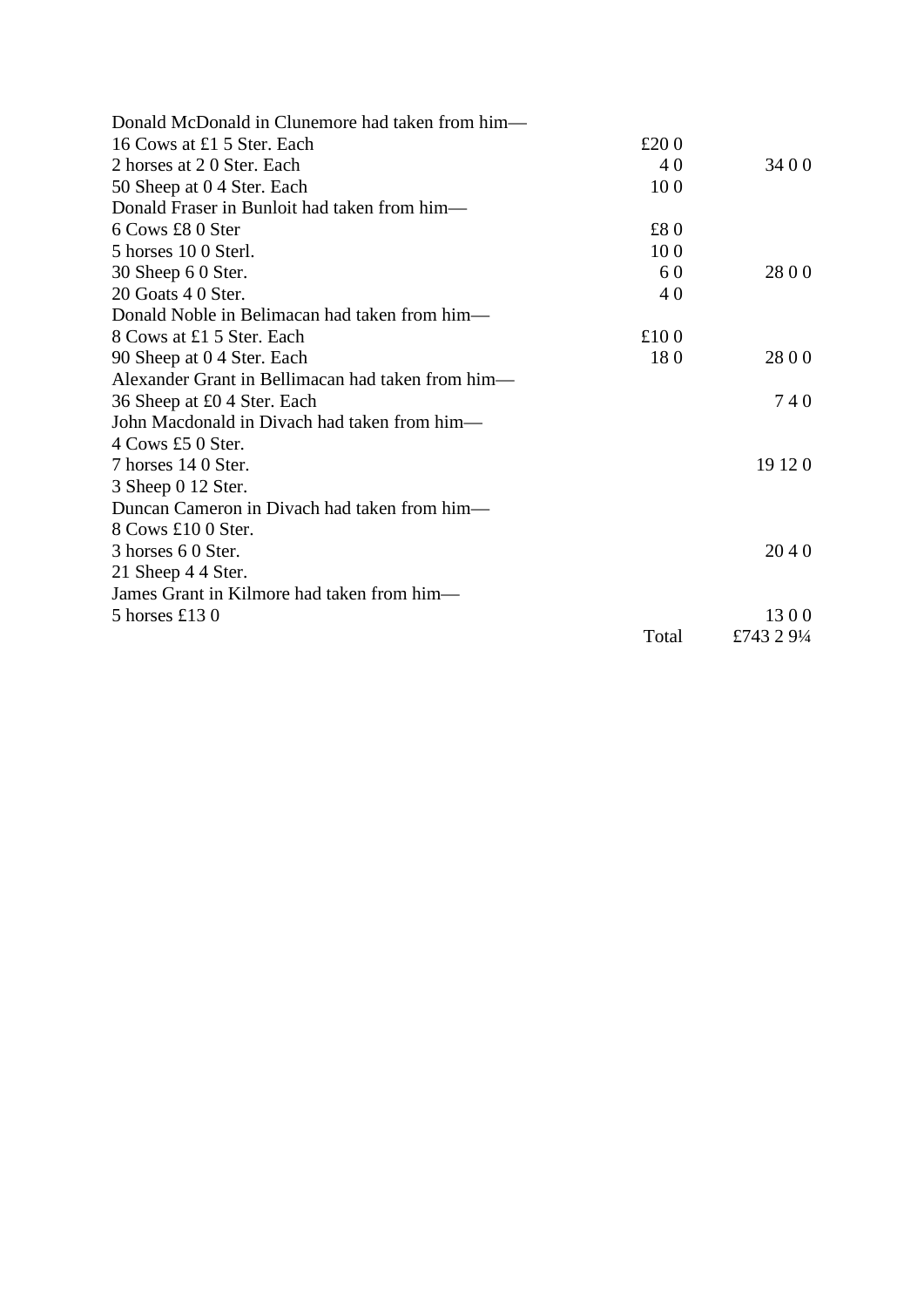| Donald McDonald in Clunemore had taken from him—  |         |             |
|---------------------------------------------------|---------|-------------|
| 16 Cows at £1 5 Ster. Each                        | £ $200$ |             |
| 2 horses at 20 Ster. Each                         | 40      | 34 0 0      |
| 50 Sheep at 0 4 Ster. Each                        | 100     |             |
| Donald Fraser in Bunloit had taken from him—      |         |             |
| 6 Cows £8 0 Ster                                  | £80     |             |
| 5 horses 10 0 Sterl.                              | 100     |             |
| 30 Sheep 6 0 Ster.                                | 60      | 28 0 0      |
| 20 Goats 4 0 Ster.                                | 40      |             |
| Donald Noble in Belimacan had taken from him—     |         |             |
| 8 Cows at £1 5 Ster. Each                         | £100    |             |
| 90 Sheep at 0 4 Ster. Each                        | 180     | 2800        |
| Alexander Grant in Bellimacan had taken from him— |         |             |
| 36 Sheep at £0 4 Ster. Each                       |         | 740         |
| John Macdonald in Divach had taken from him-      |         |             |
| 4 Cows £5 0 Ster.                                 |         |             |
| 7 horses 14 0 Ster.                               |         | 19 12 0     |
| 3 Sheep 0 12 Ster.                                |         |             |
| Duncan Cameron in Divach had taken from him—      |         |             |
| 8 Cows £10 0 Ster.                                |         |             |
| 3 horses 6 0 Ster.                                |         | 2040        |
| 21 Sheep 4 4 Ster.                                |         |             |
| James Grant in Kilmore had taken from him—        |         |             |
| 5 horses £130                                     |         | 1300        |
|                                                   | Total   | £743 2 91⁄4 |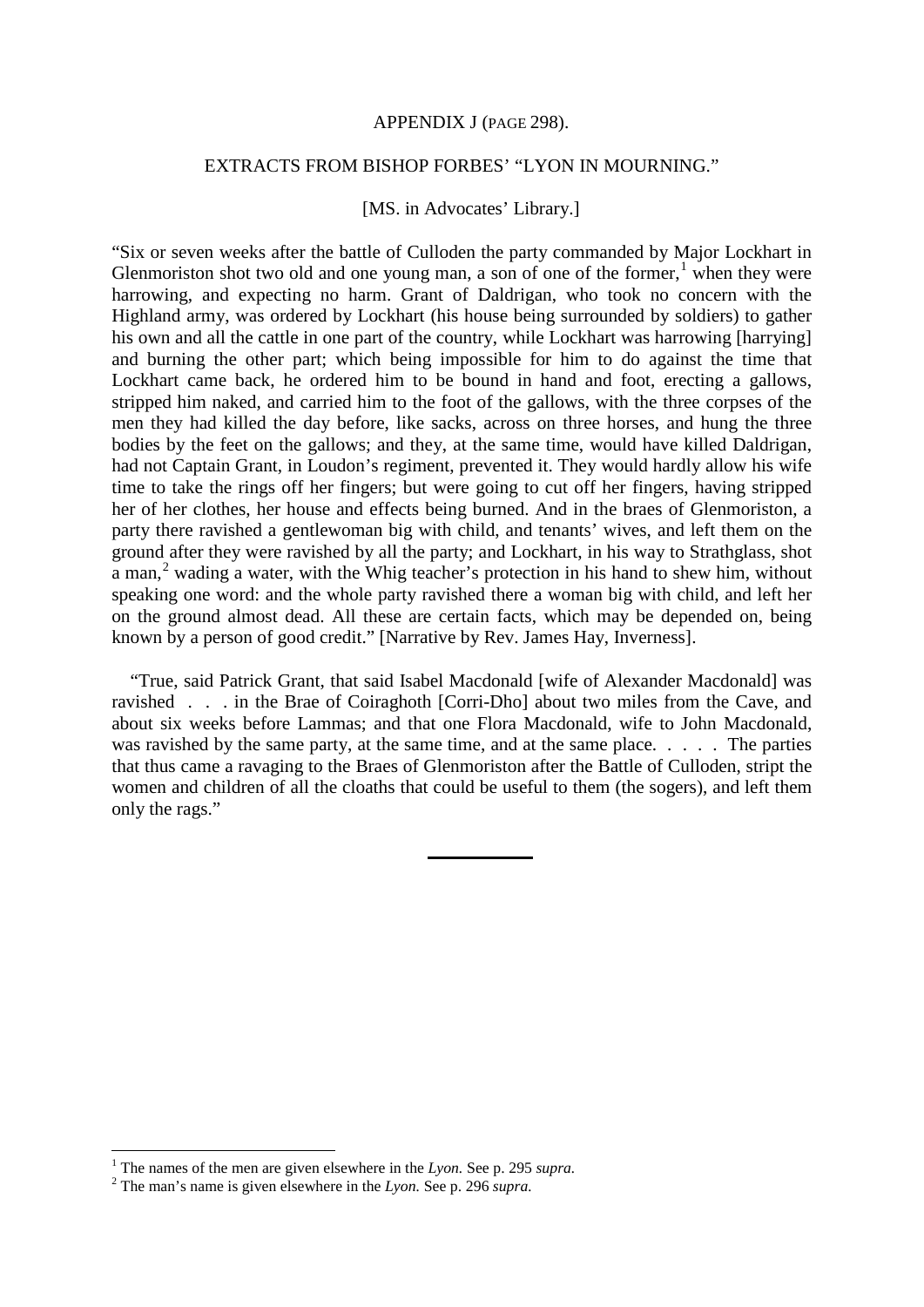#### APPENDIX J (PAGE 298).

### EXTRACTS FROM BISHOP FORBES' "LYON IN MOURNING."

#### [MS. in Advocates' Library.]

"Six or seven weeks after the battle of Culloden the party commanded by Major Lockhart in Glenmoriston shot two old and one young man, a son of one of the former, when they were harrowing, and expecting no harm. Grant of Daldrigan, who took no concern with the Highland army, was ordered by Lockhart (his house being surrounded by soldiers) to gather his own and all the cattle in one part of the country, while Lockhart was harrowing [harrying] and burning the other part; which being impossible for him to do against the time that Lockhart came back, he ordered him to be bound in hand and foot, erecting a gallows, stripped him naked, and carried him to the foot of the gallows, with the three corpses of the men they had killed the day before, like sacks, across on three horses, and hung the three bodies by the feet on the gallows; and they, at the same time, would have killed Daldrigan, had not Captain Grant, in Loudon's regiment, prevented it. They would hardly allow his wife time to take the rings off her fingers; but were going to cut off her fingers, having stripped her of her clothes, her house and effects being burned. And in the braes of Glenmoriston, a party there ravished a gentlewoman big with child, and tenants' wives, and left them on the ground after they were ravished by all the party; and Lockhart, in his way to Strathglass, shot a man,<sup>[2](#page-11-1)</sup> wading a water, with the Whig teacher's protection in his hand to shew him, without speaking one word: and the whole party ravished there a woman big with child, and left her on the ground almost dead. All these are certain facts, which may be depended on, being known by a person of good credit." [Narrative by Rev. James Hay, Inverness].

"True, said Patrick Grant, that said Isabel Macdonald [wife of Alexander Macdonald] was ravished . . . in the Brae of Coiraghoth [Corri-Dho] about two miles from the Cave, and about six weeks before Lammas; and that one Flora Macdonald, wife to John Macdonald, was ravished by the same party, at the same time, and at the same place. . . . . The parties that thus came a ravaging to the Braes of Glenmoriston after the Battle of Culloden, stript the women and children of all the cloaths that could be useful to them (the sogers), and left them only the rags."

<span id="page-11-0"></span><sup>1</sup> The names of the men are given elsewhere in the *Lyon.* See p. 295 *supra.* <sup>2</sup> The man's name is given elsewhere in the *Lyon.* See p. 296 *supra.*

<span id="page-11-1"></span>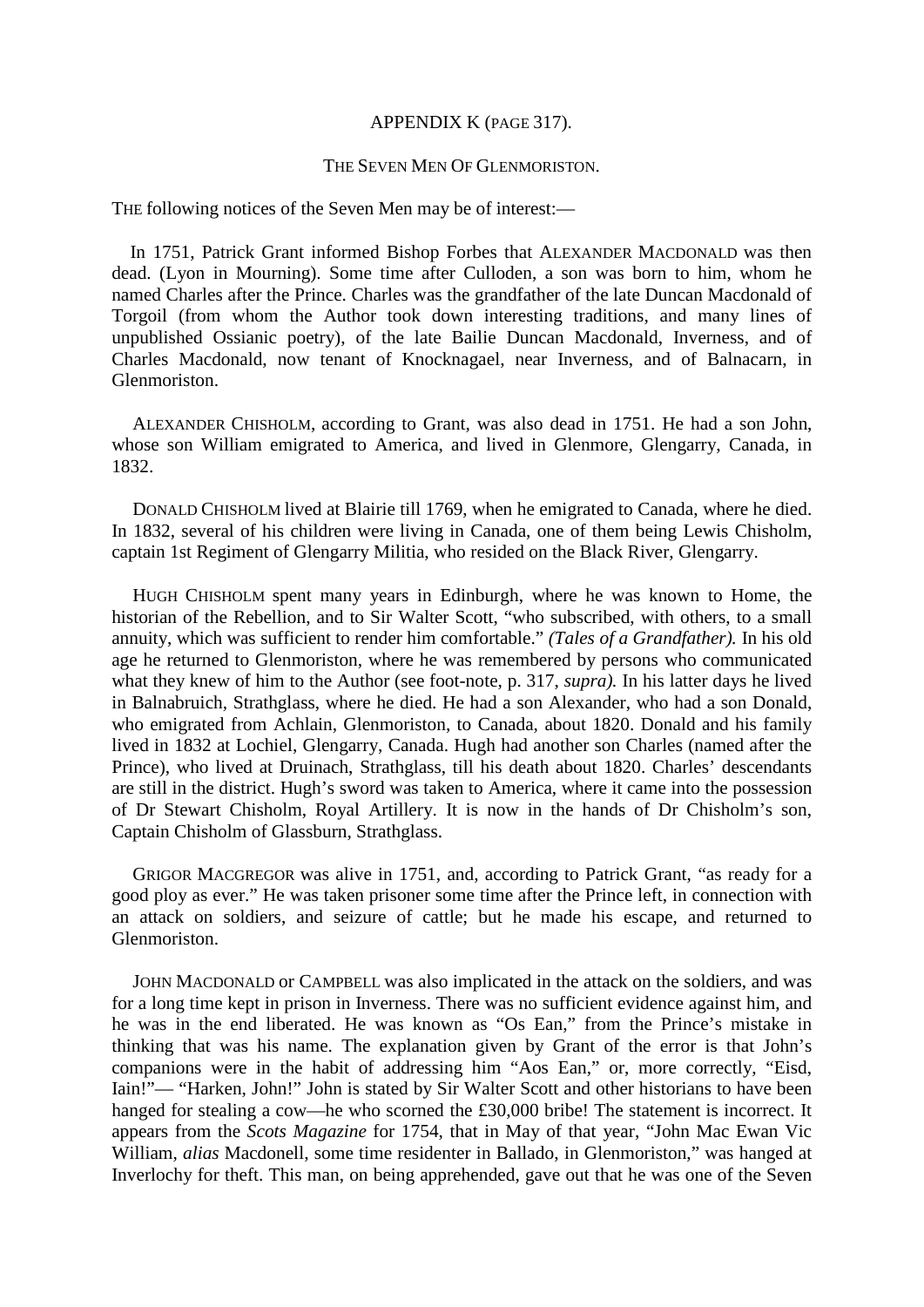#### APPENDIX K (PAGE 317).

#### THE SEVEN MEN OF GLENMORISTON.

THE following notices of the Seven Men may be of interest:—

In 1751, Patrick Grant informed Bishop Forbes that ALEXANDER MACDONALD was then dead. (Lyon in Mourning). Some time after Culloden, a son was born to him, whom he named Charles after the Prince. Charles was the grandfather of the late Duncan Macdonald of Torgoil (from whom the Author took down interesting traditions, and many lines of unpublished Ossianic poetry), of the late Bailie Duncan Macdonald, Inverness, and of Charles Macdonald, now tenant of Knocknagael, near Inverness, and of Balnacarn, in Glenmoriston.

ALEXANDER CHISHOLM, according to Grant, was also dead in 1751. He had a son John, whose son William emigrated to America, and lived in Glenmore, Glengarry, Canada, in 1832.

DONALD CHISHOLM lived at Blairie till 1769, when he emigrated to Canada, where he died. In 1832, several of his children were living in Canada, one of them being Lewis Chisholm, captain 1st Regiment of Glengarry Militia, who resided on the Black River, Glengarry.

HUGH CHISHOLM spent many years in Edinburgh, where he was known to Home, the historian of the Rebellion, and to Sir Walter Scott, "who subscribed, with others, to a small annuity, which was sufficient to render him comfortable." *(Tales of a Grandfather).* In his old age he returned to Glenmoriston, where he was remembered by persons who communicated what they knew of him to the Author (see foot-note, p. 317, *supra).* In his latter days he lived in Balnabruich, Strathglass, where he died. He had a son Alexander, who had a son Donald, who emigrated from Achlain, Glenmoriston, to Canada, about 1820. Donald and his family lived in 1832 at Lochiel, Glengarry, Canada. Hugh had another son Charles (named after the Prince), who lived at Druinach, Strathglass, till his death about 1820. Charles' descendants are still in the district. Hugh's sword was taken to America, where it came into the possession of Dr Stewart Chisholm, Royal Artillery. It is now in the hands of Dr Chisholm's son, Captain Chisholm of Glassburn, Strathglass.

GRIGOR MACGREGOR was alive in 1751, and, according to Patrick Grant, "as ready for a good ploy as ever." He was taken prisoner some time after the Prince left, in connection with an attack on soldiers, and seizure of cattle; but he made his escape, and returned to Glenmoriston.

JOHN MACDONALD or CAMPBELL was also implicated in the attack on the soldiers, and was for a long time kept in prison in Inverness. There was no sufficient evidence against him, and he was in the end liberated. He was known as "Os Ean," from the Prince's mistake in thinking that was his name. The explanation given by Grant of the error is that John's companions were in the habit of addressing him "Aos Ean," or, more correctly, "Eisd, Iain!"— "Harken, John!" John is stated by Sir Walter Scott and other historians to have been hanged for stealing a cow—he who scorned the £30,000 bribe! The statement is incorrect. It appears from the *Scots Magazine* for 1754, that in May of that year, "John Mac Ewan Vic William, *alias* Macdonell, some time residenter in Ballado, in Glenmoriston," was hanged at Inverlochy for theft. This man, on being apprehended, gave out that he was one of the Seven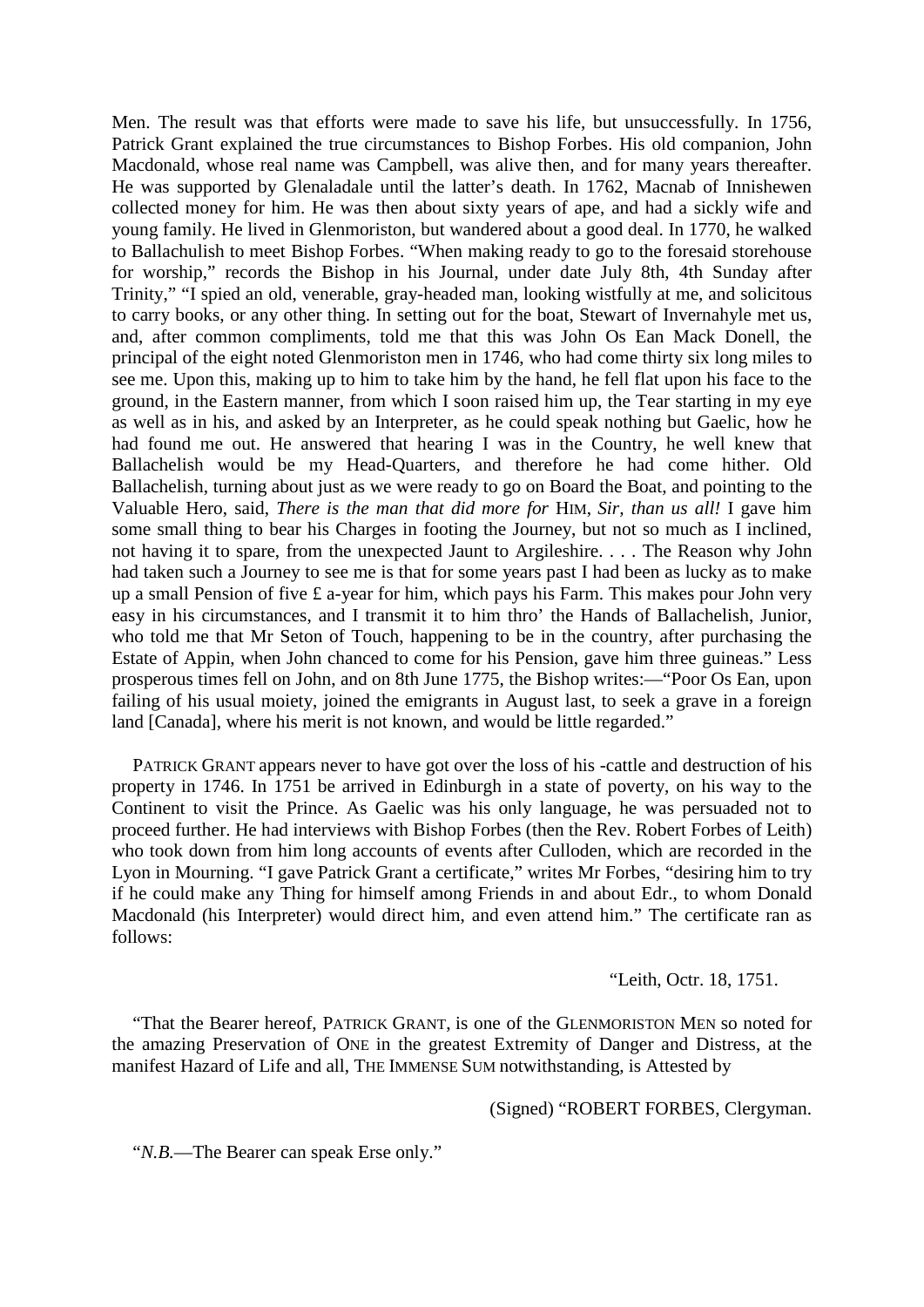Men. The result was that efforts were made to save his life, but unsuccessfully. In 1756, Patrick Grant explained the true circumstances to Bishop Forbes. His old companion, John Macdonald, whose real name was Campbell, was alive then, and for many years thereafter. He was supported by Glenaladale until the latter's death. In 1762, Macnab of Innishewen collected money for him. He was then about sixty years of ape, and had a sickly wife and young family. He lived in Glenmoriston, but wandered about a good deal. In 1770, he walked to Ballachulish to meet Bishop Forbes. "When making ready to go to the foresaid storehouse for worship," records the Bishop in his Journal, under date July 8th, 4th Sunday after Trinity," "I spied an old, venerable, gray-headed man, looking wistfully at me, and solicitous to carry books, or any other thing. In setting out for the boat, Stewart of Invernahyle met us, and, after common compliments, told me that this was John Os Ean Mack Donell, the principal of the eight noted Glenmoriston men in 1746, who had come thirty six long miles to see me. Upon this, making up to him to take him by the hand, he fell flat upon his face to the ground, in the Eastern manner, from which I soon raised him up, the Tear starting in my eye as well as in his, and asked by an Interpreter, as he could speak nothing but Gaelic, how he had found me out. He answered that hearing I was in the Country, he well knew that Ballachelish would be my Head-Quarters, and therefore he had come hither. Old Ballachelish, turning about just as we were ready to go on Board the Boat, and pointing to the Valuable Hero, said, *There is the man that did more for* HIM, *Sir, than us all!* I gave him some small thing to bear his Charges in footing the Journey, but not so much as I inclined, not having it to spare, from the unexpected Jaunt to Argileshire. . . . The Reason why John had taken such a Journey to see me is that for some years past I had been as lucky as to make up a small Pension of five £ a-year for him, which pays his Farm. This makes pour John very easy in his circumstances, and I transmit it to him thro' the Hands of Ballachelish, Junior, who told me that Mr Seton of Touch, happening to be in the country, after purchasing the Estate of Appin, when John chanced to come for his Pension, gave him three guineas." Less prosperous times fell on John, and on 8th June 1775, the Bishop writes:—"Poor Os Ean, upon failing of his usual moiety, joined the emigrants in August last, to seek a grave in a foreign land [Canada], where his merit is not known, and would be little regarded."

PATRICK GRANT appears never to have got over the loss of his -cattle and destruction of his property in 1746. In 1751 be arrived in Edinburgh in a state of poverty, on his way to the Continent to visit the Prince. As Gaelic was his only language, he was persuaded not to proceed further. He had interviews with Bishop Forbes (then the Rev. Robert Forbes of Leith) who took down from him long accounts of events after Culloden, which are recorded in the Lyon in Mourning. "I gave Patrick Grant a certificate," writes Mr Forbes, "desiring him to try if he could make any Thing for himself among Friends in and about Edr., to whom Donald Macdonald (his Interpreter) would direct him, and even attend him." The certificate ran as follows:

"Leith, Octr. 18, 1751.

"That the Bearer hereof, PATRICK GRANT, is one of the GLENMORISTON MEN so noted for the amazing Preservation of ONE in the greatest Extremity of Danger and Distress, at the manifest Hazard of Life and all, THE IMMENSE SUM notwithstanding, is Attested by

(Signed) "ROBERT FORBES, Clergyman.

"*N.B.*—The Bearer can speak Erse only."